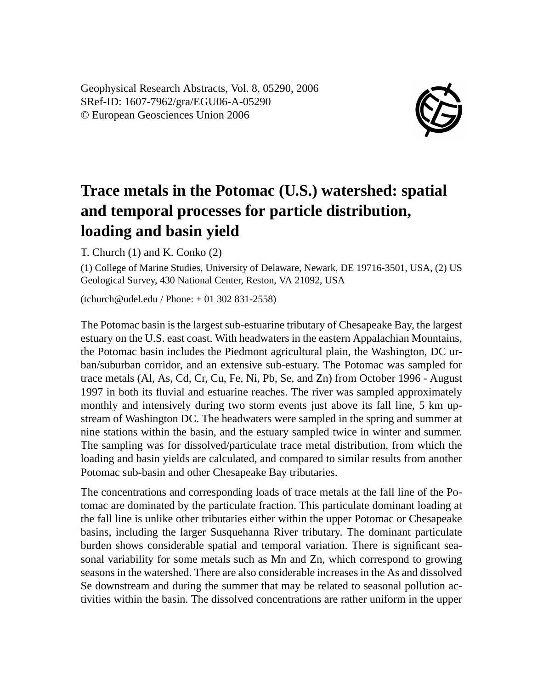Geophysical Research Abstracts, Vol. 8, 05290, 2006 SRef-ID: 1607-7962/gra/EGU06-A-05290 © European Geosciences Union 2006



## **Trace metals in the Potomac (U.S.) watershed: spatial and temporal processes for particle distribution, loading and basin yield**

T. Church (1) and K. Conko (2)

(1) College of Marine Studies, University of Delaware, Newark, DE 19716-3501, USA, (2) US Geological Survey, 430 National Center, Reston, VA 21092, USA

(tchurch@udel.edu / Phone: + 01 302 831-2558)

The Potomac basin is the largest sub-estuarine tributary of Chesapeake Bay, the largest estuary on the U.S. east coast. With headwaters in the eastern Appalachian Mountains, the Potomac basin includes the Piedmont agricultural plain, the Washington, DC urban/suburban corridor, and an extensive sub-estuary. The Potomac was sampled for trace metals (Al, As, Cd, Cr, Cu, Fe, Ni, Pb, Se, and Zn) from October 1996 - August 1997 in both its fluvial and estuarine reaches. The river was sampled approximately monthly and intensively during two storm events just above its fall line, 5 km upstream of Washington DC. The headwaters were sampled in the spring and summer at nine stations within the basin, and the estuary sampled twice in winter and summer. The sampling was for dissolved/particulate trace metal distribution, from which the loading and basin yields are calculated, and compared to similar results from another Potomac sub-basin and other Chesapeake Bay tributaries.

The concentrations and corresponding loads of trace metals at the fall line of the Potomac are dominated by the particulate fraction. This particulate dominant loading at the fall line is unlike other tributaries either within the upper Potomac or Chesapeake basins, including the larger Susquehanna River tributary. The dominant particulate burden shows considerable spatial and temporal variation. There is significant seasonal variability for some metals such as Mn and Zn, which correspond to growing seasons in the watershed. There are also considerable increases in the As and dissolved Se downstream and during the summer that may be related to seasonal pollution activities within the basin. The dissolved concentrations are rather uniform in the upper